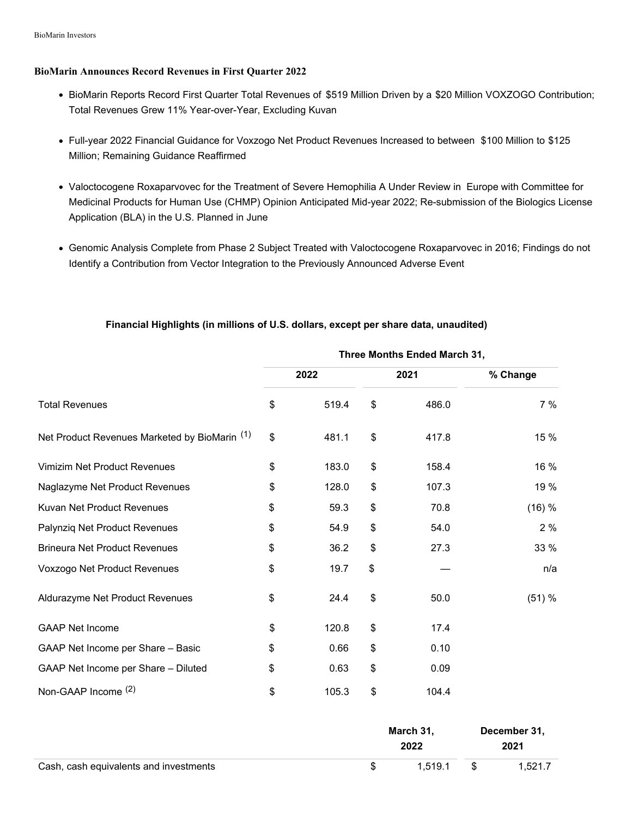#### **BioMarin Announces Record Revenues in First Quarter 2022**

- BioMarin Reports Record First Quarter Total Revenues of \$519 Million Driven by a \$20 Million VOXZOGO Contribution; Total Revenues Grew 11% Year-over-Year, Excluding Kuvan
- Full-year 2022 Financial Guidance for Voxzogo Net Product Revenues Increased to between \$100 Million to \$125 Million; Remaining Guidance Reaffirmed
- Valoctocogene Roxaparvovec for the Treatment of Severe Hemophilia A Under Review in Europe with Committee for Medicinal Products for Human Use (CHMP) Opinion Anticipated Mid-year 2022; Re-submission of the Biologics License Application (BLA) in the U.S. Planned in June
- Genomic Analysis Complete from Phase 2 Subject Treated with Valoctocogene Roxaparvovec in 2016; Findings do not Identify a Contribution from Vector Integration to the Previously Announced Adverse Event

|                                                          | Three Months Ended March 31, |       |    |       |          |  |  |
|----------------------------------------------------------|------------------------------|-------|----|-------|----------|--|--|
|                                                          |                              | 2022  |    | 2021  | % Change |  |  |
| <b>Total Revenues</b>                                    | \$                           | 519.4 | \$ | 486.0 | 7%       |  |  |
| Net Product Revenues Marketed by BioMarin <sup>(1)</sup> | \$                           | 481.1 | \$ | 417.8 | 15 %     |  |  |
| Vimizim Net Product Revenues                             | \$                           | 183.0 | \$ | 158.4 | 16 %     |  |  |
| Naglazyme Net Product Revenues                           | \$                           | 128.0 | \$ | 107.3 | 19 %     |  |  |
| Kuvan Net Product Revenues                               | \$                           | 59.3  | \$ | 70.8  | (16) %   |  |  |
| Palynziq Net Product Revenues                            | \$                           | 54.9  | \$ | 54.0  | 2%       |  |  |
| <b>Brineura Net Product Revenues</b>                     | \$                           | 36.2  | \$ | 27.3  | 33 %     |  |  |
| Voxzogo Net Product Revenues                             | \$                           | 19.7  | \$ |       | n/a      |  |  |
| Aldurazyme Net Product Revenues                          | \$                           | 24.4  | \$ | 50.0  | (51) %   |  |  |
| <b>GAAP Net Income</b>                                   | \$                           | 120.8 | \$ | 17.4  |          |  |  |
| GAAP Net Income per Share - Basic                        | \$                           | 0.66  | \$ | 0.10  |          |  |  |
| GAAP Net Income per Share - Diluted                      | \$                           | 0.63  | \$ | 0.09  |          |  |  |
| Non-GAAP Income (2)                                      | \$                           | 105.3 | \$ | 104.4 |          |  |  |

## **Financial Highlights (in millions of U.S. dollars, except per share data, unaudited)**

|                                        | March 31.<br>2022 |  | December 31,<br>2021 |
|----------------------------------------|-------------------|--|----------------------|
| Cash, cash equivalents and investments | 1.519.1           |  | 1.521.7              |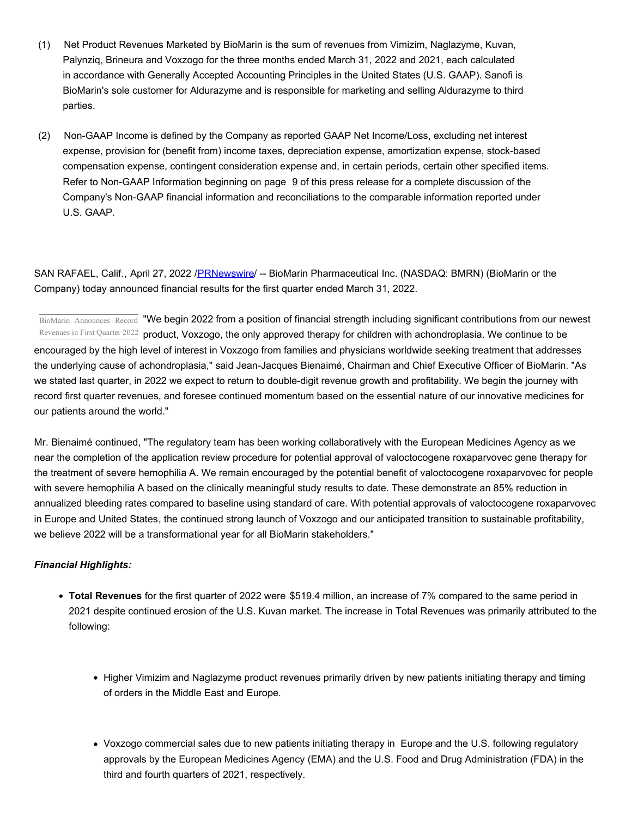- (1) Net Product Revenues Marketed by BioMarin is the sum of revenues from Vimizim, Naglazyme, Kuvan, Palynziq, Brineura and Voxzogo for the three months ended March 31, 2022 and 2021, each calculated in accordance with Generally Accepted Accounting Principles in the United States (U.S. GAAP). Sanofi is BioMarin's sole customer for Aldurazyme and is responsible for marketing and selling Aldurazyme to third parties.
- (2) Non-GAAP Income is defined by the Company as reported GAAP Net Income/Loss, excluding net interest expense, provision for (benefit from) income taxes, depreciation expense, amortization expense, stock-based compensation expense, contingent consideration expense and, in certain periods, certain other specified items. Refer to Non-GAAP Information beginning on page  $9$  of this press release for a complete discussion of the Company's Non-GAAP financial information and reconciliations to the comparable information reported under U.S. GAAP.

SAN RAFAEL, Calif., April 27, 2022 /[PRNewswire](http://www.prnewswire.com/)/ -- BioMarin Pharmaceutical Inc. (NASDAQ: BMRN) (BioMarin or the Company) today announced financial results for the first quarter ended March 31, 2022.

BioMarin Announces Record "We begin 2022 from a position of financial strength including significant contributions from our newest Revenues in First Quarter 2022 product, Voxzogo, the only approved therapy for children with achondroplasia. We continue to be encouraged by the high level of interest in Voxzogo from families and physicians worldwide seeking treatment that addresses the underlying cause of achondroplasia," said Jean-Jacques Bienaimé, Chairman and Chief Executive Officer of BioMarin. "As we stated last quarter, in 2022 we expect to return to double-digit revenue growth and profitability. We begin the journey with record first quarter revenues, and foresee continued momentum based on the essential nature of our innovative medicines for our patients around the world."

Mr. Bienaimé continued, "The regulatory team has been working collaboratively with the European Medicines Agency as we near the completion of the application review procedure for potential approval of valoctocogene roxaparvovec gene therapy for the treatment of severe hemophilia A. We remain encouraged by the potential benefit of valoctocogene roxaparvovec for people with severe hemophilia A based on the clinically meaningful study results to date. These demonstrate an 85% reduction in annualized bleeding rates compared to baseline using standard of care. With potential approvals of valoctocogene roxaparvovec in Europe and United States, the continued strong launch of Voxzogo and our anticipated transition to sustainable profitability, we believe 2022 will be a transformational year for all BioMarin stakeholders."

## *Financial Highlights:*

- **Total Revenues** for the first quarter of 2022 were \$519.4 million, an increase of 7% compared to the same period in 2021 despite continued erosion of the U.S. Kuvan market. The increase in Total Revenues was primarily attributed to the following:
	- Higher Vimizim and Naglazyme product revenues primarily driven by new patients initiating therapy and timing of orders in the Middle East and Europe.
	- Voxzogo commercial sales due to new patients initiating therapy in Europe and the U.S. following regulatory approvals by the European Medicines Agency (EMA) and the U.S. Food and Drug Administration (FDA) in the third and fourth quarters of 2021, respectively.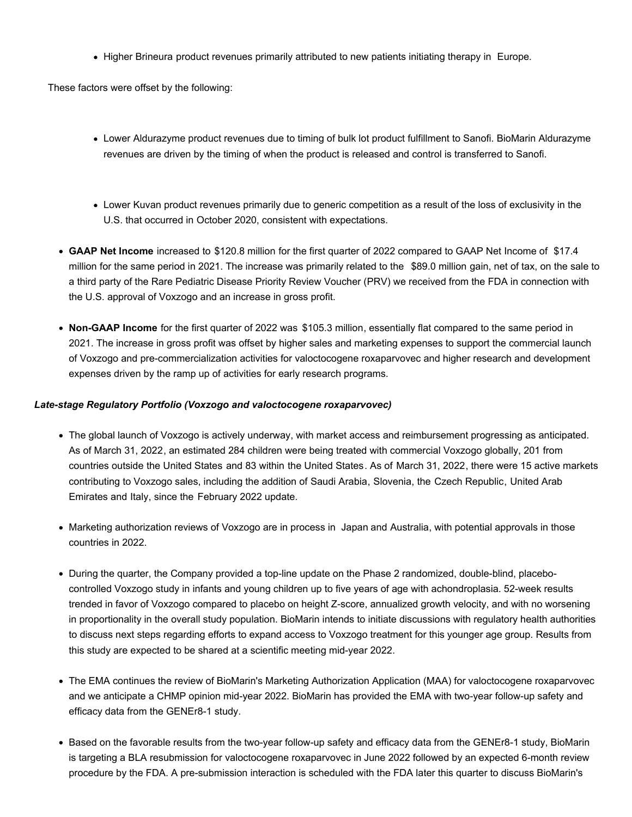• Higher Brineura product revenues primarily attributed to new patients initiating therapy in Europe.

These factors were offset by the following:

- Lower Aldurazyme product revenues due to timing of bulk lot product fulfillment to Sanofi. BioMarin Aldurazyme revenues are driven by the timing of when the product is released and control is transferred to Sanofi.
- Lower Kuvan product revenues primarily due to generic competition as a result of the loss of exclusivity in the U.S. that occurred in October 2020, consistent with expectations.
- **GAAP Net Income** increased to \$120.8 million for the first quarter of 2022 compared to GAAP Net Income of \$17.4 million for the same period in 2021. The increase was primarily related to the \$89.0 million gain, net of tax, on the sale to a third party of the Rare Pediatric Disease Priority Review Voucher (PRV) we received from the FDA in connection with the U.S. approval of Voxzogo and an increase in gross profit.
- **Non-GAAP Income** for the first quarter of 2022 was \$105.3 million, essentially flat compared to the same period in 2021. The increase in gross profit was offset by higher sales and marketing expenses to support the commercial launch of Voxzogo and pre-commercialization activities for valoctocogene roxaparvovec and higher research and development expenses driven by the ramp up of activities for early research programs.

## *Late-stage Regulatory Portfolio (Voxzogo and valoctocogene roxaparvovec)*

- The global launch of Voxzogo is actively underway, with market access and reimbursement progressing as anticipated. As of March 31, 2022, an estimated 284 children were being treated with commercial Voxzogo globally, 201 from countries outside the United States and 83 within the United States. As of March 31, 2022, there were 15 active markets contributing to Voxzogo sales, including the addition of Saudi Arabia, Slovenia, the Czech Republic, United Arab Emirates and Italy, since the February 2022 update.
- Marketing authorization reviews of Voxzogo are in process in Japan and Australia, with potential approvals in those countries in 2022.
- During the quarter, the Company provided a top-line update on the Phase 2 randomized, double-blind, placebocontrolled Voxzogo study in infants and young children up to five years of age with achondroplasia. 52-week results trended in favor of Voxzogo compared to placebo on height Z-score, annualized growth velocity, and with no worsening in proportionality in the overall study population. BioMarin intends to initiate discussions with regulatory health authorities to discuss next steps regarding efforts to expand access to Voxzogo treatment for this younger age group. Results from this study are expected to be shared at a scientific meeting mid-year 2022.
- The EMA continues the review of BioMarin's Marketing Authorization Application (MAA) for valoctocogene roxaparvovec and we anticipate a CHMP opinion mid-year 2022. BioMarin has provided the EMA with two-year follow-up safety and efficacy data from the GENEr8-1 study.
- Based on the favorable results from the two-year follow-up safety and efficacy data from the GENEr8-1 study, BioMarin is targeting a BLA resubmission for valoctocogene roxaparvovec in June 2022 followed by an expected 6-month review procedure by the FDA. A pre-submission interaction is scheduled with the FDA later this quarter to discuss BioMarin's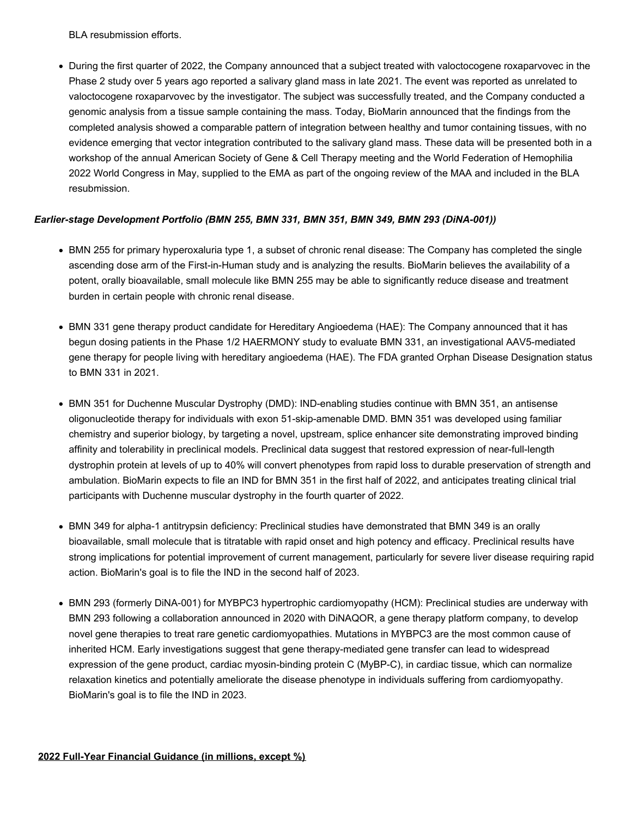BLA resubmission efforts.

During the first quarter of 2022, the Company announced that a subject treated with valoctocogene roxaparvovec in the Phase 2 study over 5 years ago reported a salivary gland mass in late 2021. The event was reported as unrelated to valoctocogene roxaparvovec by the investigator. The subject was successfully treated, and the Company conducted a genomic analysis from a tissue sample containing the mass. Today, BioMarin announced that the findings from the completed analysis showed a comparable pattern of integration between healthy and tumor containing tissues, with no evidence emerging that vector integration contributed to the salivary gland mass. These data will be presented both in a workshop of the annual American Society of Gene & Cell Therapy meeting and the World Federation of Hemophilia 2022 World Congress in May, supplied to the EMA as part of the ongoing review of the MAA and included in the BLA resubmission.

## *Earlier-stage Development Portfolio (BMN 255, BMN 331, BMN 351, BMN 349, BMN 293 (DiNA-001))*

- BMN 255 for primary hyperoxaluria type 1, a subset of chronic renal disease: The Company has completed the single ascending dose arm of the First-in-Human study and is analyzing the results. BioMarin believes the availability of a potent, orally bioavailable, small molecule like BMN 255 may be able to significantly reduce disease and treatment burden in certain people with chronic renal disease.
- BMN 331 gene therapy product candidate for Hereditary Angioedema (HAE): The Company announced that it has begun dosing patients in the Phase 1/2 HAERMONY study to evaluate BMN 331, an investigational AAV5-mediated gene therapy for people living with hereditary angioedema (HAE). The FDA granted Orphan Disease Designation status to BMN 331 in 2021.
- BMN 351 for Duchenne Muscular Dystrophy (DMD): IND-enabling studies continue with BMN 351, an antisense oligonucleotide therapy for individuals with exon 51-skip-amenable DMD. BMN 351 was developed using familiar chemistry and superior biology, by targeting a novel, upstream, splice enhancer site demonstrating improved binding affinity and tolerability in preclinical models. Preclinical data suggest that restored expression of near-full-length dystrophin protein at levels of up to 40% will convert phenotypes from rapid loss to durable preservation of strength and ambulation. BioMarin expects to file an IND for BMN 351 in the first half of 2022, and anticipates treating clinical trial participants with Duchenne muscular dystrophy in the fourth quarter of 2022.
- BMN 349 for alpha-1 antitrypsin deficiency: Preclinical studies have demonstrated that BMN 349 is an orally bioavailable, small molecule that is titratable with rapid onset and high potency and efficacy. Preclinical results have strong implications for potential improvement of current management, particularly for severe liver disease requiring rapid action. BioMarin's goal is to file the IND in the second half of 2023.
- BMN 293 (formerly DiNA-001) for MYBPC3 hypertrophic cardiomyopathy (HCM): Preclinical studies are underway with BMN 293 following a collaboration announced in 2020 with DiNAQOR, a gene therapy platform company, to develop novel gene therapies to treat rare genetic cardiomyopathies. Mutations in MYBPC3 are the most common cause of inherited HCM. Early investigations suggest that gene therapy-mediated gene transfer can lead to widespread expression of the gene product, cardiac myosin-binding protein C (MyBP-C), in cardiac tissue, which can normalize relaxation kinetics and potentially ameliorate the disease phenotype in individuals suffering from cardiomyopathy. BioMarin's goal is to file the IND in 2023.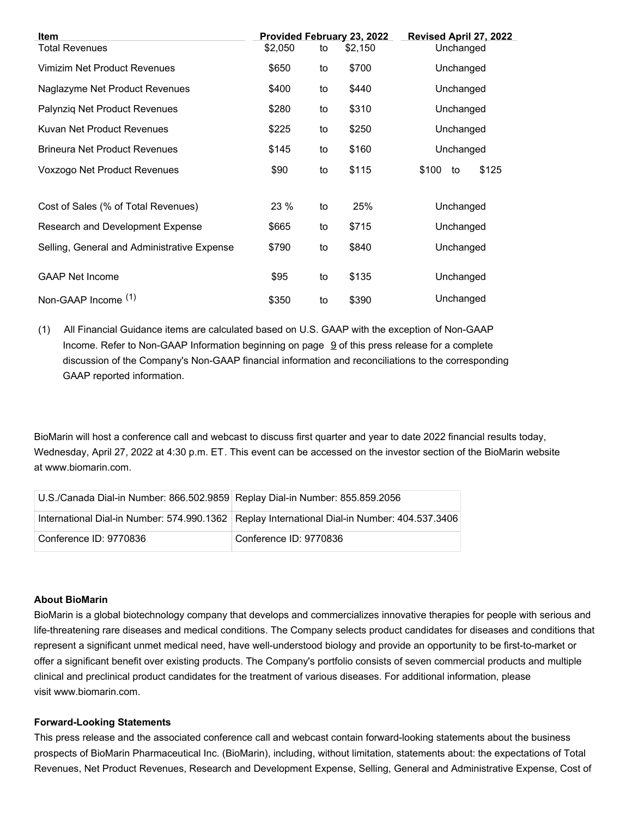| <b>Item</b>                                 |         |    | Provided February 23, 2022 | Revised April 27, 2022 |
|---------------------------------------------|---------|----|----------------------------|------------------------|
| <b>Total Revenues</b>                       | \$2,050 | to | \$2,150                    | Unchanged              |
| Vimizim Net Product Revenues                | \$650   | to | \$700                      | Unchanged              |
| Naglazyme Net Product Revenues              | \$400   | to | \$440                      | Unchanged              |
| Palynziq Net Product Revenues               | \$280   | to | \$310                      | Unchanged              |
| Kuvan Net Product Revenues                  | \$225   | to | \$250                      | Unchanged              |
| <b>Brineura Net Product Revenues</b>        | \$145   | to | \$160                      | Unchanged              |
| Voxzogo Net Product Revenues                | \$90    | to | \$115                      | \$125<br>\$100<br>to   |
|                                             |         |    |                            |                        |
| Cost of Sales (% of Total Revenues)         | 23%     | to | 25%                        | Unchanged              |
| Research and Development Expense            | \$665   | to | \$715                      | Unchanged              |
| Selling, General and Administrative Expense | \$790   | to | \$840                      | Unchanged              |
| <b>GAAP Net Income</b>                      | \$95    | to | \$135                      | Unchanged              |
|                                             |         |    |                            |                        |
| Non-GAAP Income (1)                         | \$350   | to | \$390                      | Unchanged              |

(1) All Financial Guidance items are calculated based on U.S. GAAP with the exception of Non-GAAP Income. Refer to Non-GAAP Information beginning on page  $9$  of this press release for a complete discussion of the Company's Non-GAAP financial information and reconciliations to the corresponding GAAP reported information.

BioMarin will host a conference call and webcast to discuss first quarter and year to date 2022 financial results today, Wednesday, April 27, 2022 at 4:30 p.m. ET. This event can be accessed on the investor section of the BioMarin website at www.biomarin.com.

| U.S./Canada Dial-in Number: 866.502.9859 Replay Dial-in Number: 855.859.2056 |                                                                                                |
|------------------------------------------------------------------------------|------------------------------------------------------------------------------------------------|
|                                                                              | International Dial-in Number: 574.990.1362   Replay International Dial-in Number: 404.537.3406 |
| Conference ID: 9770836                                                       | Conference ID: 9770836                                                                         |

#### **About BioMarin**

BioMarin is a global biotechnology company that develops and commercializes innovative therapies for people with serious and life-threatening rare diseases and medical conditions. The Company selects product candidates for diseases and conditions that represent a significant unmet medical need, have well-understood biology and provide an opportunity to be first-to-market or offer a significant benefit over existing products. The Company's portfolio consists of seven commercial products and multiple clinical and preclinical product candidates for the treatment of various diseases. For additional information, please visit www.biomarin.com.

#### **Forward-Looking Statements**

This press release and the associated conference call and webcast contain forward-looking statements about the business prospects of BioMarin Pharmaceutical Inc. (BioMarin), including, without limitation, statements about: the expectations of Total Revenues, Net Product Revenues, Research and Development Expense, Selling, General and Administrative Expense, Cost of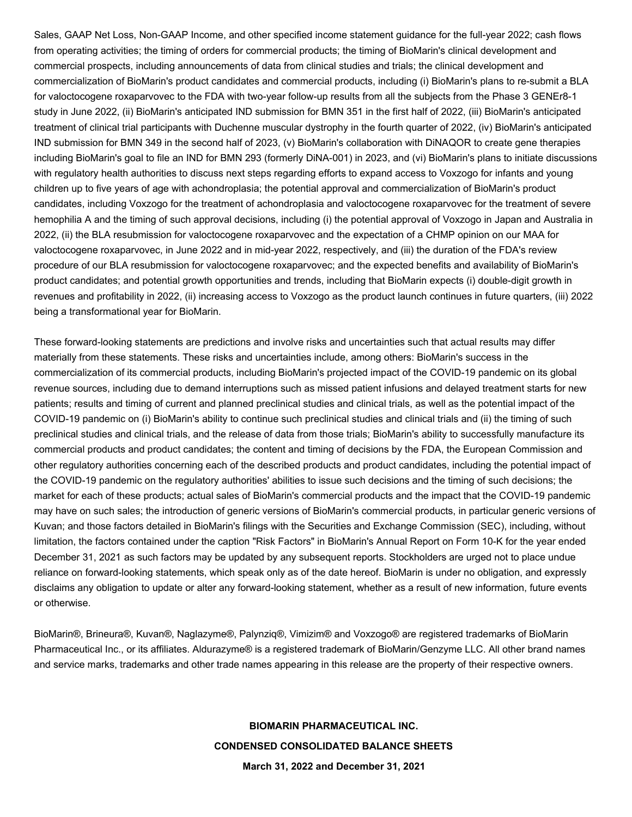Sales, GAAP Net Loss, Non-GAAP Income, and other specified income statement guidance for the full-year 2022; cash flows from operating activities; the timing of orders for commercial products; the timing of BioMarin's clinical development and commercial prospects, including announcements of data from clinical studies and trials; the clinical development and commercialization of BioMarin's product candidates and commercial products, including (i) BioMarin's plans to re-submit a BLA for valoctocogene roxaparvovec to the FDA with two-year follow-up results from all the subjects from the Phase 3 GENEr8-1 study in June 2022, (ii) BioMarin's anticipated IND submission for BMN 351 in the first half of 2022, (iii) BioMarin's anticipated treatment of clinical trial participants with Duchenne muscular dystrophy in the fourth quarter of 2022, (iv) BioMarin's anticipated IND submission for BMN 349 in the second half of 2023, (v) BioMarin's collaboration with DiNAQOR to create gene therapies including BioMarin's goal to file an IND for BMN 293 (formerly DiNA-001) in 2023, and (vi) BioMarin's plans to initiate discussions with regulatory health authorities to discuss next steps regarding efforts to expand access to Voxzogo for infants and young children up to five years of age with achondroplasia; the potential approval and commercialization of BioMarin's product candidates, including Voxzogo for the treatment of achondroplasia and valoctocogene roxaparvovec for the treatment of severe hemophilia A and the timing of such approval decisions, including (i) the potential approval of Voxzogo in Japan and Australia in 2022, (ii) the BLA resubmission for valoctocogene roxaparvovec and the expectation of a CHMP opinion on our MAA for valoctocogene roxaparvovec, in June 2022 and in mid-year 2022, respectively, and (iii) the duration of the FDA's review procedure of our BLA resubmission for valoctocogene roxaparvovec; and the expected benefits and availability of BioMarin's product candidates; and potential growth opportunities and trends, including that BioMarin expects (i) double-digit growth in revenues and profitability in 2022, (ii) increasing access to Voxzogo as the product launch continues in future quarters, (iii) 2022 being a transformational year for BioMarin.

These forward-looking statements are predictions and involve risks and uncertainties such that actual results may differ materially from these statements. These risks and uncertainties include, among others: BioMarin's success in the commercialization of its commercial products, including BioMarin's projected impact of the COVID-19 pandemic on its global revenue sources, including due to demand interruptions such as missed patient infusions and delayed treatment starts for new patients; results and timing of current and planned preclinical studies and clinical trials, as well as the potential impact of the COVID-19 pandemic on (i) BioMarin's ability to continue such preclinical studies and clinical trials and (ii) the timing of such preclinical studies and clinical trials, and the release of data from those trials; BioMarin's ability to successfully manufacture its commercial products and product candidates; the content and timing of decisions by the FDA, the European Commission and other regulatory authorities concerning each of the described products and product candidates, including the potential impact of the COVID-19 pandemic on the regulatory authorities' abilities to issue such decisions and the timing of such decisions; the market for each of these products; actual sales of BioMarin's commercial products and the impact that the COVID-19 pandemic may have on such sales; the introduction of generic versions of BioMarin's commercial products, in particular generic versions of Kuvan; and those factors detailed in BioMarin's filings with the Securities and Exchange Commission (SEC), including, without limitation, the factors contained under the caption "Risk Factors" in BioMarin's Annual Report on Form 10-K for the year ended December 31, 2021 as such factors may be updated by any subsequent reports. Stockholders are urged not to place undue reliance on forward-looking statements, which speak only as of the date hereof. BioMarin is under no obligation, and expressly disclaims any obligation to update or alter any forward-looking statement, whether as a result of new information, future events or otherwise.

BioMarin®, Brineura®, Kuvan®, Naglazyme®, Palynziq®, Vimizim® and Voxzogo® are registered trademarks of BioMarin Pharmaceutical Inc., or its affiliates. Aldurazyme® is a registered trademark of BioMarin/Genzyme LLC. All other brand names and service marks, trademarks and other trade names appearing in this release are the property of their respective owners.

# **BIOMARIN PHARMACEUTICAL INC. CONDENSED CONSOLIDATED BALANCE SHEETS March 31, 2022 and December 31, 2021**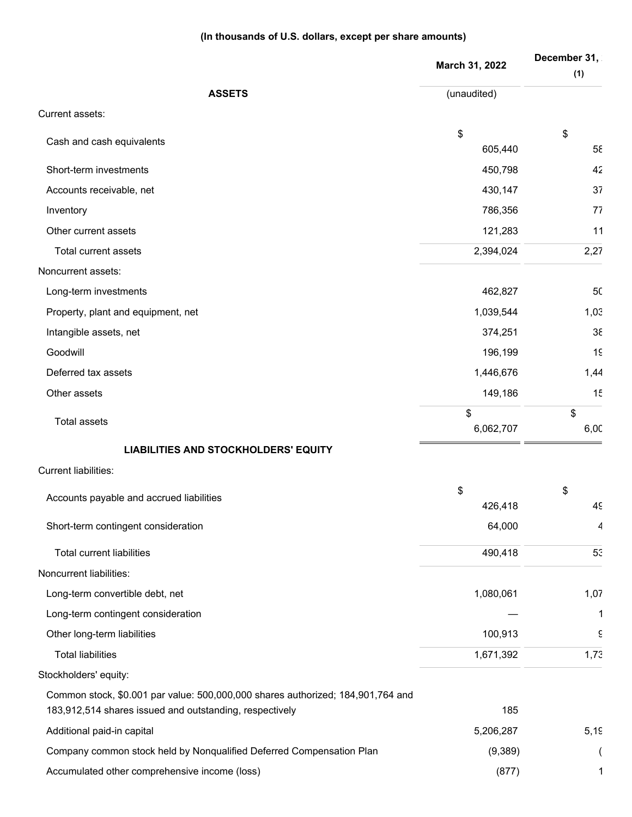## **(In thousands of U.S. dollars, except per share amounts)**

|                                                                                 | March 31, 2022 | December 31,<br>(1) |
|---------------------------------------------------------------------------------|----------------|---------------------|
| <b>ASSETS</b>                                                                   | (unaudited)    |                     |
| Current assets:                                                                 |                |                     |
| Cash and cash equivalents                                                       | \$             | \$                  |
|                                                                                 | 605,440        | $5\xi$              |
| Short-term investments                                                          | 450,798        | 42                  |
| Accounts receivable, net                                                        | 430,147        | 37                  |
| Inventory                                                                       | 786,356        | 77                  |
| Other current assets                                                            | 121,283        | 11                  |
| Total current assets                                                            | 2,394,024      | 2,27                |
| Noncurrent assets:                                                              |                |                     |
| Long-term investments                                                           | 462,827        | 50                  |
| Property, plant and equipment, net                                              | 1,039,544      | 1,03                |
| Intangible assets, net                                                          | 374,251        | $3\xi$              |
| Goodwill                                                                        | 196,199        | 15                  |
| Deferred tax assets                                                             | 1,446,676      | 1,44                |
| Other assets                                                                    | 149,186        | 15                  |
|                                                                                 | \$             | \$                  |
| <b>Total assets</b>                                                             | 6,062,707      | 6,00                |
| <b>LIABILITIES AND STOCKHOLDERS' EQUITY</b>                                     |                |                     |
| <b>Current liabilities:</b>                                                     |                |                     |
|                                                                                 | \$             | \$                  |
| Accounts payable and accrued liabilities                                        | 426,418        | 49                  |
| Short-term contingent consideration                                             | 64,000         | 4                   |
| <b>Total current liabilities</b>                                                | 490,418        | 53                  |
| Noncurrent liabilities:                                                         |                |                     |
| Long-term convertible debt, net                                                 | 1,080,061      | 1,07                |
| Long-term contingent consideration                                              |                | 1                   |
| Other long-term liabilities                                                     | 100,913        | $\hat{\epsilon}$    |
| <b>Total liabilities</b>                                                        | 1,671,392      | 1,73                |
| Stockholders' equity:                                                           |                |                     |
| Common stock, \$0.001 par value: 500,000,000 shares authorized; 184,901,764 and |                |                     |
| 183,912,514 shares issued and outstanding, respectively                         | 185            |                     |
| Additional paid-in capital                                                      | 5,206,287      | 5,19                |
| Company common stock held by Nonqualified Deferred Compensation Plan            | (9,389)        |                     |
| Accumulated other comprehensive income (loss)                                   | (877)          | 1                   |
|                                                                                 |                |                     |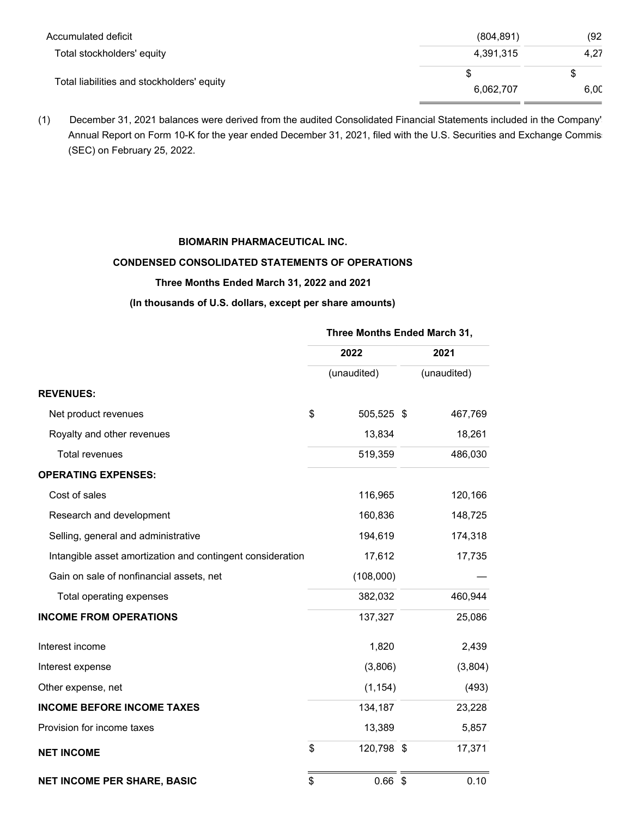| (804, 891) | (92) |
|------------|------|
| 4,391,315  | 4,27 |
|            |      |
| 6,062,707  | 6,00 |
|            |      |

(1) December 31, 2021 balances were derived from the audited Consolidated Financial Statements included in the Company's Annual Report on Form 10-K for the year ended December 31, 2021, filed with the U.S. Securities and Exchange Commission (SEC) on February 25, 2022.

## **BIOMARIN PHARMACEUTICAL INC.**

## **CONDENSED CONSOLIDATED STATEMENTS OF OPERATIONS**

#### **Three Months Ended March 31, 2022 and 2021**

## **(In thousands of U.S. dollars, except per share amounts)**

## **Three Months Ended March 31,**

|                                                            | 2022             |  | 2021        |
|------------------------------------------------------------|------------------|--|-------------|
|                                                            | (unaudited)      |  | (unaudited) |
| <b>REVENUES:</b>                                           |                  |  |             |
| Net product revenues                                       | \$<br>505,525 \$ |  | 467,769     |
| Royalty and other revenues                                 | 13,834           |  | 18,261      |
| <b>Total revenues</b>                                      | 519,359          |  | 486,030     |
| <b>OPERATING EXPENSES:</b>                                 |                  |  |             |
| Cost of sales                                              | 116,965          |  | 120,166     |
| Research and development                                   | 160,836          |  | 148,725     |
| Selling, general and administrative                        | 194,619          |  | 174,318     |
| Intangible asset amortization and contingent consideration | 17,612           |  | 17,735      |
| Gain on sale of nonfinancial assets, net                   | (108,000)        |  |             |
| Total operating expenses                                   | 382,032          |  | 460,944     |
| <b>INCOME FROM OPERATIONS</b>                              | 137,327          |  | 25,086      |
| Interest income                                            | 1,820            |  | 2,439       |
| Interest expense                                           | (3,806)          |  | (3,804)     |
| Other expense, net                                         | (1, 154)         |  | (493)       |
| <b>INCOME BEFORE INCOME TAXES</b>                          | 134,187          |  | 23,228      |
| Provision for income taxes                                 | 13,389           |  | 5,857       |
| <b>NET INCOME</b>                                          | \$<br>120,798 \$ |  | 17,371      |
| <b>NET INCOME PER SHARE, BASIC</b>                         | \$<br>$0.66$ \$  |  | 0.10        |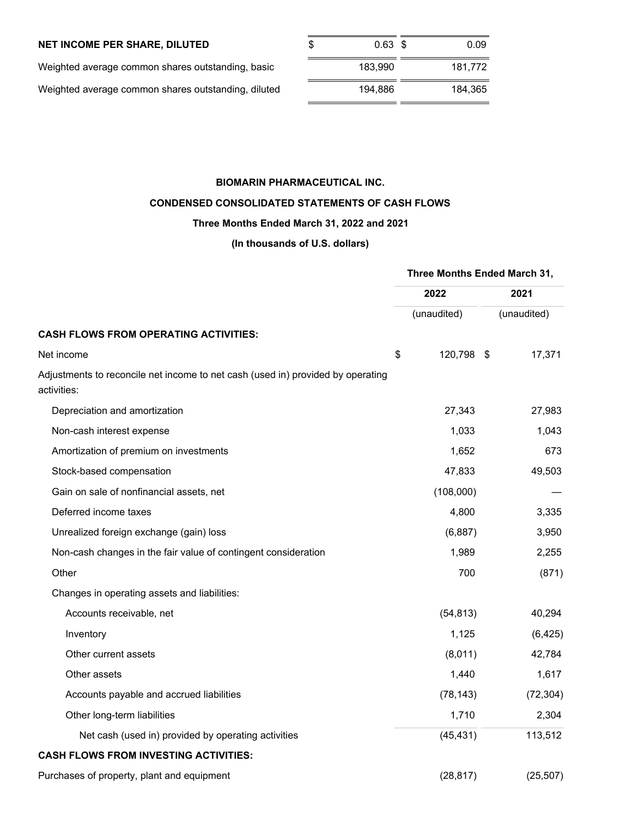## **NET INCOME PER SHARE, DILUTED**

| Weighted average common shares outstanding, basic   | 183.990 | 181.772 |
|-----------------------------------------------------|---------|---------|
| Weighted average common shares outstanding, diluted | 194.886 | 184.365 |

| \$<br>$0.63$ \$ | 0.09    |
|-----------------|---------|
| 183.990         | 181,772 |
| 194,886         | 184,365 |

## **BIOMARIN PHARMACEUTICAL INC.**

## **CONDENSED CONSOLIDATED STATEMENTS OF CASH FLOWS**

## **Three Months Ended March 31, 2022 and 2021**

**(In thousands of U.S. dollars)**

|                                                                                                | Three Months Ended March 31, |  |             |  |
|------------------------------------------------------------------------------------------------|------------------------------|--|-------------|--|
|                                                                                                | 2022                         |  | 2021        |  |
|                                                                                                | (unaudited)                  |  | (unaudited) |  |
| <b>CASH FLOWS FROM OPERATING ACTIVITIES:</b>                                                   |                              |  |             |  |
| Net income                                                                                     | \$<br>120,798 \$             |  | 17,371      |  |
| Adjustments to reconcile net income to net cash (used in) provided by operating<br>activities: |                              |  |             |  |
| Depreciation and amortization                                                                  | 27,343                       |  | 27,983      |  |
| Non-cash interest expense                                                                      | 1,033                        |  | 1,043       |  |
| Amortization of premium on investments                                                         | 1,652                        |  | 673         |  |
| Stock-based compensation                                                                       | 47,833                       |  | 49,503      |  |
| Gain on sale of nonfinancial assets, net                                                       | (108,000)                    |  |             |  |
| Deferred income taxes                                                                          | 4,800                        |  | 3,335       |  |
| Unrealized foreign exchange (gain) loss                                                        | (6,887)                      |  | 3,950       |  |
| Non-cash changes in the fair value of contingent consideration                                 | 1,989                        |  | 2,255       |  |
| Other                                                                                          | 700                          |  | (871)       |  |
| Changes in operating assets and liabilities:                                                   |                              |  |             |  |
| Accounts receivable, net                                                                       | (54, 813)                    |  | 40,294      |  |
| Inventory                                                                                      | 1,125                        |  | (6, 425)    |  |
| Other current assets                                                                           | (8,011)                      |  | 42,784      |  |
| Other assets                                                                                   | 1,440                        |  | 1,617       |  |
| Accounts payable and accrued liabilities                                                       | (78, 143)                    |  | (72, 304)   |  |
| Other long-term liabilities                                                                    | 1,710                        |  | 2,304       |  |
| Net cash (used in) provided by operating activities                                            | (45, 431)                    |  | 113,512     |  |
| <b>CASH FLOWS FROM INVESTING ACTIVITIES:</b>                                                   |                              |  |             |  |
| Purchases of property, plant and equipment                                                     | (28, 817)                    |  | (25, 507)   |  |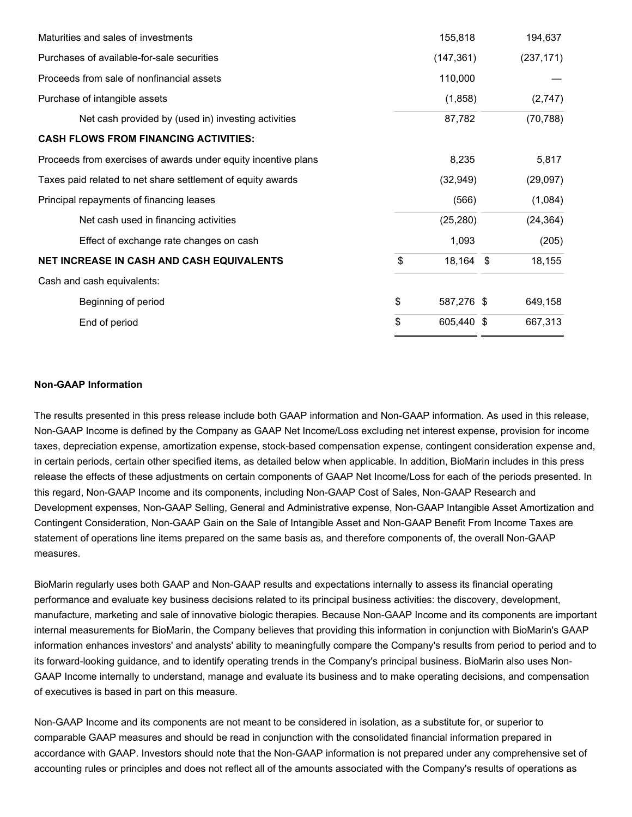| Maturities and sales of investments                            |                  | 155,818    |  | 194,637    |
|----------------------------------------------------------------|------------------|------------|--|------------|
| Purchases of available-for-sale securities<br>(147, 361)       |                  |            |  | (237, 171) |
| Proceeds from sale of nonfinancial assets                      |                  | 110,000    |  |            |
| Purchase of intangible assets                                  |                  | (1,858)    |  | (2,747)    |
| Net cash provided by (used in) investing activities            | 87,782           |            |  | (70, 788)  |
| <b>CASH FLOWS FROM FINANCING ACTIVITIES:</b>                   |                  |            |  |            |
| Proceeds from exercises of awards under equity incentive plans | 8,235            |            |  | 5,817      |
| Taxes paid related to net share settlement of equity awards    | (32, 949)        |            |  | (29,097)   |
| Principal repayments of financing leases                       |                  | (566)      |  | (1,084)    |
| Net cash used in financing activities                          |                  | (25, 280)  |  | (24, 364)  |
| Effect of exchange rate changes on cash                        |                  | 1,093      |  | (205)      |
| NET INCREASE IN CASH AND CASH EQUIVALENTS                      | \$               | 18,164 \$  |  | 18,155     |
| Cash and cash equivalents:                                     |                  |            |  |            |
| Beginning of period                                            | \$               | 587,276 \$ |  | 649,158    |
| End of period                                                  | \$<br>605,440 \$ |            |  | 667,313    |
|                                                                |                  |            |  |            |

#### **Non-GAAP Information**

The results presented in this press release include both GAAP information and Non-GAAP information. As used in this release, Non-GAAP Income is defined by the Company as GAAP Net Income/Loss excluding net interest expense, provision for income taxes, depreciation expense, amortization expense, stock-based compensation expense, contingent consideration expense and, in certain periods, certain other specified items, as detailed below when applicable. In addition, BioMarin includes in this press release the effects of these adjustments on certain components of GAAP Net Income/Loss for each of the periods presented. In this regard, Non-GAAP Income and its components, including Non-GAAP Cost of Sales, Non-GAAP Research and Development expenses, Non-GAAP Selling, General and Administrative expense, Non-GAAP Intangible Asset Amortization and Contingent Consideration, Non-GAAP Gain on the Sale of Intangible Asset and Non-GAAP Benefit From Income Taxes are statement of operations line items prepared on the same basis as, and therefore components of, the overall Non-GAAP measures.

BioMarin regularly uses both GAAP and Non-GAAP results and expectations internally to assess its financial operating performance and evaluate key business decisions related to its principal business activities: the discovery, development, manufacture, marketing and sale of innovative biologic therapies. Because Non-GAAP Income and its components are important internal measurements for BioMarin, the Company believes that providing this information in conjunction with BioMarin's GAAP information enhances investors' and analysts' ability to meaningfully compare the Company's results from period to period and to its forward-looking guidance, and to identify operating trends in the Company's principal business. BioMarin also uses Non-GAAP Income internally to understand, manage and evaluate its business and to make operating decisions, and compensation of executives is based in part on this measure.

Non-GAAP Income and its components are not meant to be considered in isolation, as a substitute for, or superior to comparable GAAP measures and should be read in conjunction with the consolidated financial information prepared in accordance with GAAP. Investors should note that the Non-GAAP information is not prepared under any comprehensive set of accounting rules or principles and does not reflect all of the amounts associated with the Company's results of operations as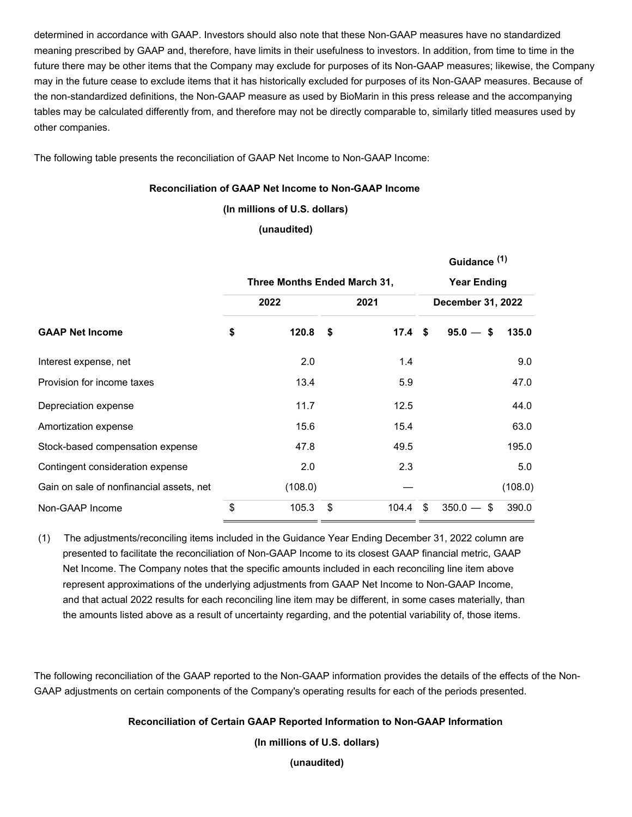determined in accordance with GAAP. Investors should also note that these Non-GAAP measures have no standardized meaning prescribed by GAAP and, therefore, have limits in their usefulness to investors. In addition, from time to time in the future there may be other items that the Company may exclude for purposes of its Non-GAAP measures; likewise, the Company may in the future cease to exclude items that it has historically excluded for purposes of its Non-GAAP measures. Because of the non-standardized definitions, the Non-GAAP measure as used by BioMarin in this press release and the accompanying tables may be calculated differently from, and therefore may not be directly comparable to, similarly titled measures used by other companies.

The following table presents the reconciliation of GAAP Net Income to Non-GAAP Income:

## **Reconciliation of GAAP Net Income to Non-GAAP Income**

**(In millions of U.S. dollars)**

**(unaudited)**

|                                          |                              |              |    |                    |                          | Guidance <sup>(1)</sup> |         |  |
|------------------------------------------|------------------------------|--------------|----|--------------------|--------------------------|-------------------------|---------|--|
|                                          | Three Months Ended March 31, |              |    | <b>Year Ending</b> |                          |                         |         |  |
|                                          |                              | 2022<br>2021 |    |                    | <b>December 31, 2022</b> |                         |         |  |
| <b>GAAP Net Income</b>                   | \$                           | 120.8        | \$ | 17.4 <sup>5</sup>  |                          | $95.0 -$<br>- \$        | 135.0   |  |
| Interest expense, net                    |                              | 2.0          |    | 1.4                |                          |                         | 9.0     |  |
| Provision for income taxes               |                              | 13.4         |    | 5.9                |                          |                         | 47.0    |  |
| Depreciation expense                     |                              | 11.7         |    | 12.5               |                          |                         | 44.0    |  |
| Amortization expense                     |                              | 15.6         |    | 15.4               |                          |                         | 63.0    |  |
| Stock-based compensation expense         |                              | 47.8         |    | 49.5               |                          |                         | 195.0   |  |
| Contingent consideration expense         |                              | 2.0          |    | 2.3                |                          |                         | 5.0     |  |
| Gain on sale of nonfinancial assets, net |                              | (108.0)      |    |                    |                          |                         | (108.0) |  |
| Non-GAAP Income                          | \$                           | 105.3        | \$ | 104.4              | \$                       | $350.0 -$<br>\$         | 390.0   |  |

(1) The adjustments/reconciling items included in the Guidance Year Ending December 31, 2022 column are presented to facilitate the reconciliation of Non-GAAP Income to its closest GAAP financial metric, GAAP Net Income. The Company notes that the specific amounts included in each reconciling line item above represent approximations of the underlying adjustments from GAAP Net Income to Non-GAAP Income, and that actual 2022 results for each reconciling line item may be different, in some cases materially, than the amounts listed above as a result of uncertainty regarding, and the potential variability of, those items.

The following reconciliation of the GAAP reported to the Non-GAAP information provides the details of the effects of the Non-GAAP adjustments on certain components of the Company's operating results for each of the periods presented.

**Reconciliation of Certain GAAP Reported Information to Non-GAAP Information**

**(In millions of U.S. dollars)**

**(unaudited)**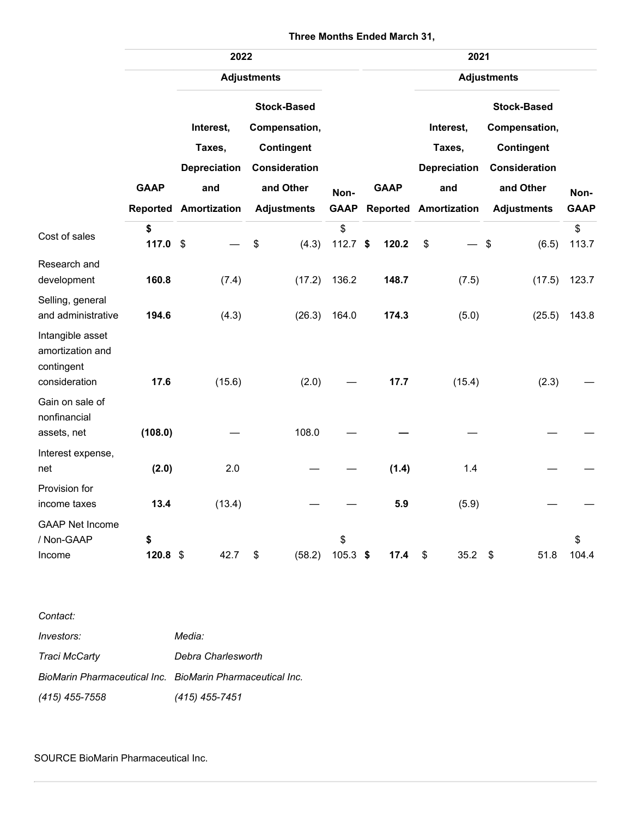|                                                                     | 2022             |                                                   |                                                                                        |        |                 |             | 2021  |                                                   |  |                                                                                        |             |  |
|---------------------------------------------------------------------|------------------|---------------------------------------------------|----------------------------------------------------------------------------------------|--------|-----------------|-------------|-------|---------------------------------------------------|--|----------------------------------------------------------------------------------------|-------------|--|
|                                                                     |                  | <b>Adjustments</b>                                |                                                                                        |        |                 |             |       | <b>Adjustments</b>                                |  |                                                                                        | Non-        |  |
|                                                                     | <b>GAAP</b>      | Interest,<br>Taxes,<br><b>Depreciation</b><br>and | <b>Stock-Based</b><br>Compensation,<br>Contingent<br><b>Consideration</b><br>and Other |        | Non-            | <b>GAAP</b> |       | Interest,<br>Taxes,<br><b>Depreciation</b><br>and |  | <b>Stock-Based</b><br>Compensation,<br>Contingent<br><b>Consideration</b><br>and Other |             |  |
|                                                                     |                  | <b>Reported Amortization</b>                      | <b>Adjustments</b>                                                                     |        | <b>GAAP</b>     |             |       | <b>Reported Amortization</b>                      |  | <b>Adjustments</b>                                                                     | <b>GAAP</b> |  |
| Cost of sales                                                       | \$<br>117.0      | $\boldsymbol{\mathsf{S}}$                         | \$                                                                                     | (4.3)  | \$<br>112.7 $$$ |             | 120.2 | \$                                                |  | \$<br>(6.5)                                                                            | \$<br>113.7 |  |
| Research and<br>development                                         | 160.8            | (7.4)                                             |                                                                                        | (17.2) | 136.2           |             | 148.7 | (7.5)                                             |  | (17.5)                                                                                 | 123.7       |  |
| Selling, general<br>and administrative                              | 194.6            | (4.3)                                             |                                                                                        | (26.3) | 164.0           |             | 174.3 | (5.0)                                             |  | (25.5)                                                                                 | 143.8       |  |
| Intangible asset<br>amortization and<br>contingent<br>consideration | 17.6             | (15.6)                                            |                                                                                        | (2.0)  |                 |             | 17.7  | (15.4)                                            |  | (2.3)                                                                                  |             |  |
| Gain on sale of<br>nonfinancial<br>assets, net                      | (108.0)          |                                                   |                                                                                        | 108.0  |                 |             |       |                                                   |  |                                                                                        |             |  |
| Interest expense,<br>net                                            | (2.0)            | 2.0                                               |                                                                                        |        |                 |             | (1.4) | 1.4                                               |  |                                                                                        |             |  |
| Provision for<br>income taxes                                       | 13.4             | (13.4)                                            |                                                                                        |        |                 |             | 5.9   | (5.9)                                             |  |                                                                                        |             |  |
| <b>GAAP Net Income</b><br>/ Non-GAAP<br>Income                      | \$<br>$120.8$ \$ | 42.7                                              | \$                                                                                     | (58.2) | \$<br>105.3     | \$          | 17.4  | 35.2<br>\$                                        |  | \$<br>51.8                                                                             | \$<br>104.4 |  |

## **Three Months Ended March 31,**

*Contact: Investors: Media: Traci McCarty Debra Charlesworth BioMarin Pharmaceutical Inc. BioMarin Pharmaceutical Inc. (415) 455-7558 (415) 455-7451*